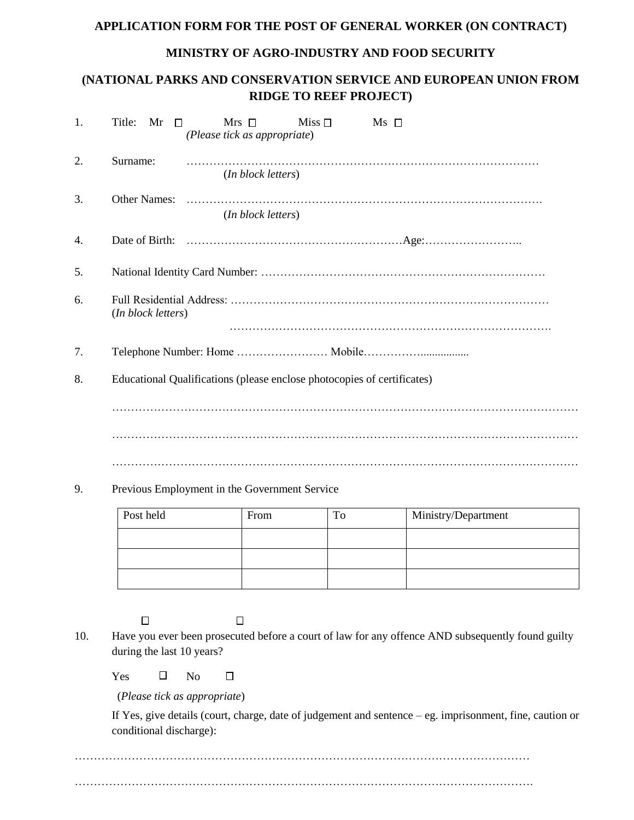## **APPLICATION FORM FOR THE POST OF GENERAL WORKER (ON CONTRACT)**

## **MINISTRY OF AGRO-INDUSTRY AND FOOD SECURITY**

## **(NATIONAL PARKS AND CONSERVATION SERVICE AND EUROPEAN UNION FROM RIDGE TO REEF PROJECT)**

| 1. | Title:<br>Mr<br>$Mrs$ $\Box$<br>Miss $\Box$<br>$Ms \Box$<br>$\Box$<br>(Please tick as appropriate) |  |  |  |  |
|----|----------------------------------------------------------------------------------------------------|--|--|--|--|
| 2. | Surname:<br>( <i>In block letters</i> )                                                            |  |  |  |  |
| 3. | (In block letters)                                                                                 |  |  |  |  |
| 4. |                                                                                                    |  |  |  |  |
| 5. |                                                                                                    |  |  |  |  |
| 6. | (In block letters)                                                                                 |  |  |  |  |
| 7. |                                                                                                    |  |  |  |  |
| 8. | Educational Qualifications (please enclose photocopies of certificates)                            |  |  |  |  |
|    |                                                                                                    |  |  |  |  |
|    |                                                                                                    |  |  |  |  |
|    |                                                                                                    |  |  |  |  |
| 9. | Previous Employment in the Government Service                                                      |  |  |  |  |

| Post held | From | To | Ministry/Department |
|-----------|------|----|---------------------|
|           |      |    |                     |
|           |      |    |                     |
|           |      |    |                     |

 $\Box$ 

 $\Box$ 

10. Have you ever been prosecuted before a court of law for any offence AND subsequently found guilty during the last 10 years?

 $Yes \square No$  $\Box$ 

(*Please tick as appropriate*)

If Yes, give details (court, charge, date of judgement and sentence – eg. imprisonment, fine, caution or conditional discharge):

………………………………………………………………………………………………………… ………………………………………………………………………………………………………….